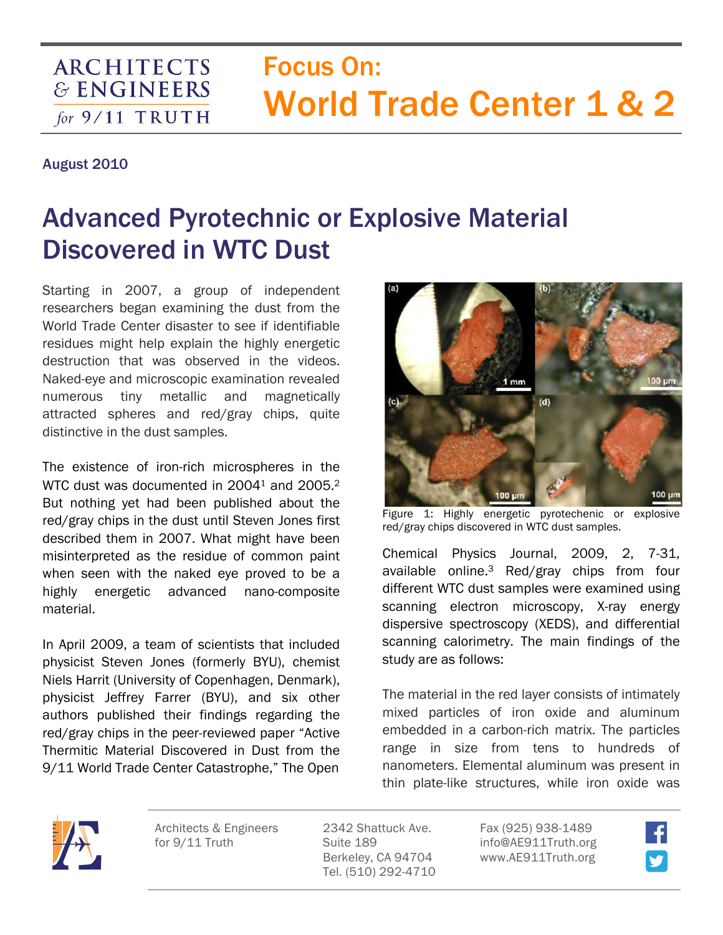## Focus On: World Trade Center 1 & 2

## August 2010

**ARCHITECTS & ENGINEERS** 

for  $9/11$  TRUTH

## Advanced Pyrotechnic or Explosive Material Discovered in WTC Dust

Starting in 2007, a group of independent researchers began examining the dust from the World Trade Center disaster to see if identifiable residues might help explain the highly energetic destruction that was observed in the videos. Naked-eye and microscopic examination revealed numerous tiny metallic and magnetically attracted spheres and red/gray chips, quite distinctive in the dust samples.

The existence of iron-rich microspheres in the WTC dust was documented in 2004<sup>1</sup> and 2005.<sup>2</sup> But nothing yet had been published about the red/gray chips in the dust until Steven Jones first described them in 2007. What might have been misinterpreted as the residue of common paint when seen with the naked eye proved to be a highly energetic advanced nano-composite material.

In April 2009, a team of scientists that included physicist Steven Jones (formerly BYU), chemist Niels Harrit (University of Copenhagen, Denmark), physicist Jeffrey Farrer (BYU), and six other authors published their findings regarding the red/gray chips in the peer-reviewed paper "Active Thermitic Material Discovered in Dust from the 9/11 World Trade Center Catastrophe," The Open



Figure 1: Highly energetic pyrotechenic or explosive red/gray chips discovered in WTC dust samples.

Chemical Physics Journal, 2009, 2, 7-31, available online.3 Red/gray chips from four different WTC dust samples were examined using scanning electron microscopy, X-ray energy dispersive spectroscopy (XEDS), and differential scanning calorimetry. The main findings of the study are as follows:

The material in the red layer consists of intimately mixed particles of iron oxide and aluminum embedded in a carbon-rich matrix. The particles range in size from tens to hundreds of nanometers. Elemental aluminum was present in thin plate-like structures, while iron oxide was



Architects & Engineers for 9/11 Truth

2342 Shattuck Ave. Suite 189 Berkeley, CA 94704 Tel. (510) 292-4710

Fax (925) 938-1489 info@AE911Truth.org www.AE911Truth.org

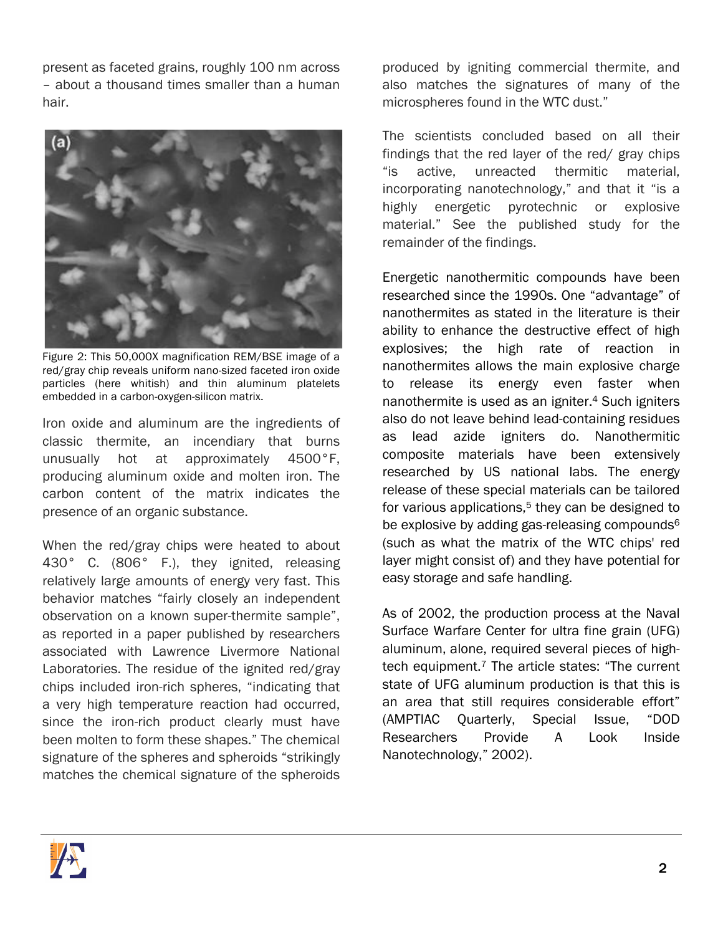present as faceted grains, roughly 100 nm across – about a thousand times smaller than a human hair.



Figure 2: This 50,000X magnification REM/BSE image of a red/gray chip reveals uniform nano-sized faceted iron oxide particles (here whitish) and thin aluminum platelets embedded in a carbon-oxygen-silicon matrix.

Iron oxide and aluminum are the ingredients of classic thermite, an incendiary that burns unusually hot at approximately 4500°F, producing aluminum oxide and molten iron. The carbon content of the matrix indicates the presence of an organic substance.

When the red/gray chips were heated to about 430° C. (806° F.), they ignited, releasing relatively large amounts of energy very fast. This behavior matches "fairly closely an independent observation on a known super-thermite sample", as reported in a paper published by researchers associated with Lawrence Livermore National Laboratories. The residue of the ignited red/gray chips included iron-rich spheres, "indicating that a very high temperature reaction had occurred, since the iron-rich product clearly must have been molten to form these shapes." The chemical signature of the spheres and spheroids "strikingly matches the chemical signature of the spheroids

produced by igniting commercial thermite, and also matches the signatures of many of the microspheres found in the WTC dust."

The scientists concluded based on all their findings that the red layer of the red/ gray chips "is active, unreacted thermitic material, incorporating nanotechnology," and that it "is a highly energetic pyrotechnic or explosive material." See the published study for the remainder of the findings.

Energetic nanothermitic compounds have been researched since the 1990s. One "advantage" of nanothermites as stated in the literature is their ability to enhance the destructive effect of high explosives; the high rate of reaction in nanothermites allows the main explosive charge to release its energy even faster when nanothermite is used as an igniter.4 Such igniters also do not leave behind lead-containing residues as lead azide igniters do. Nanothermitic composite materials have been extensively researched by US national labs. The energy release of these special materials can be tailored for various applications, $5$  they can be designed to be explosive by adding gas-releasing compounds<sup>6</sup> (such as what the matrix of the WTC chips' red layer might consist of) and they have potential for easy storage and safe handling.

As of 2002, the production process at the Naval Surface Warfare Center for ultra fine grain (UFG) aluminum, alone, required several pieces of hightech equipment. $<sup>7</sup>$  The article states: "The current</sup> state of UFG aluminum production is that this is an area that still requires considerable effort" (AMPTIAC Quarterly, Special Issue, "DOD Researchers Provide A Look Inside Nanotechnology," 2002).